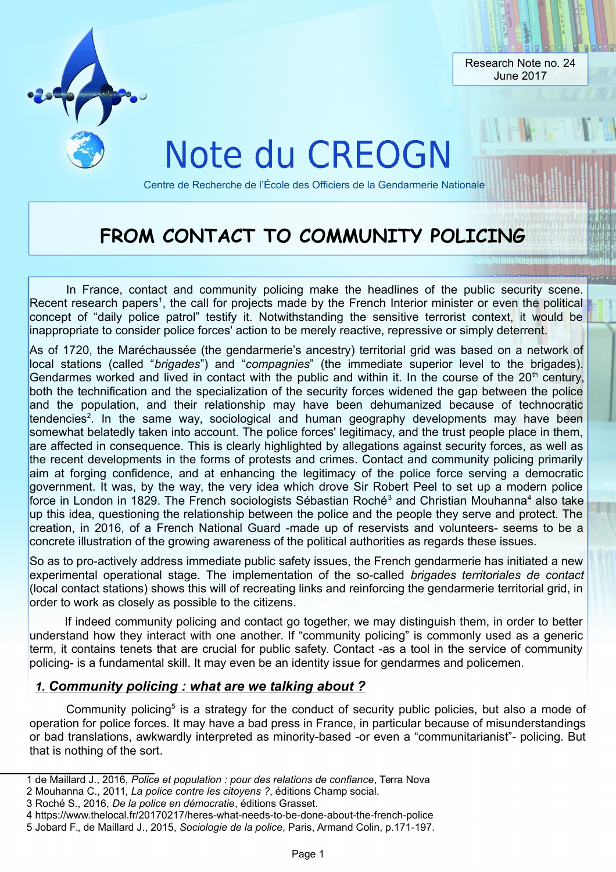

## **FROM CONTACT TO COMMUNITY POLICING**

In France, contact and community policing make the headlines of the public security scene. Recent research papers<sup>[1](#page-0-0)</sup>, the call for projects made by the French Interior minister or even the political concept of "daily police patrol" testify it. Notwithstanding the sensitive terrorist context, it would be inappropriate to consider police forces' action to be merely reactive, repressive or simply deterrent.

As of 1720, the Maréchaussée (the gendarmerie's ancestry) territorial grid was based on a network of local stations (called "*brigades*") and "*compagnies*" (the immediate superior level to the brigades). Gendarmes worked and lived in contact with the public and within it. In the course of the  $20<sup>th</sup>$  century, both the technification and the specialization of the security forces widened the gap between the police and the population, and their relationship may have been dehumanized because of technocratic tendencies<sup>[2](#page-0-1)</sup>. In the same way, sociological and human geography developments may have been somewhat belatedly taken into account. The police forces' legitimacy, and the trust people place in them, are affected in consequence. This is clearly highlighted by allegations against security forces, as well as the recent developments in the forms of protests and crimes. Contact and community policing primarily aim at forging confidence, and at enhancing the legitimacy of the police force serving a democratic government. It was, by the way, the very idea which drove Sir Robert Peel to set up a modern police force in London in 1829. The French sociologists Sébastian Roché<sup>[3](#page-0-2)</sup> and Christian Mouhanna<sup>[4](#page-0-3)</sup> also take up this idea, questioning the relationship between the police and the people they serve and protect. The creation, in 2016, of a French National Guard -made up of reservists and volunteers- seems to be a concrete illustration of the growing awareness of the political authorities as regards these issues.

So as to pro-actively address immediate public safety issues, the French gendarmerie has initiated a new experimental operational stage. The implementation of the so-called *brigades territoriales de contact* (local contact stations) shows this will of recreating links and reinforcing the gendarmerie territorial grid, in order to work as closely as possible to the citizens.

If indeed community policing and contact go together, we may distinguish them, in order to better understand how they interact with one another. If "community policing" is commonly used as a generic term, it contains tenets that are crucial for public safety. Contact -as a tool in the service of community policing- is a fundamental skill. It may even be an identity issue for gendarmes and policemen.

## *1.Community policing : what are we talking about ?*

Community policing<sup>[5](#page-0-4)</sup> is a strategy for the conduct of security public policies, but also a mode of operation for police forces. It may have a bad press in France, in particular because of misunderstandings or bad translations, awkwardly interpreted as minority-based -or even a "communitarianist"- policing. But that is nothing of the sort.

<span id="page-0-0"></span><sup>1</sup> de Maillard J., 2016, *Police et population : pour des relations de confiance*, Terra Nova

<span id="page-0-1"></span><sup>2</sup> Mouhanna C., 2011, *La police contre les citoyens ?*, éditions Champ social.

<span id="page-0-2"></span><sup>3</sup> Roché S., 2016, *De la police en démocratie*, éditions Grasset.

<span id="page-0-3"></span><sup>4</sup> https://www.thelocal.fr/20170217/heres-what-needs-to-be-done-about-the-french-police

<span id="page-0-4"></span><sup>5</sup> Jobard F., de Maillard J., 2015, *Sociologie de la police*, Paris, Armand Colin, p.171-197.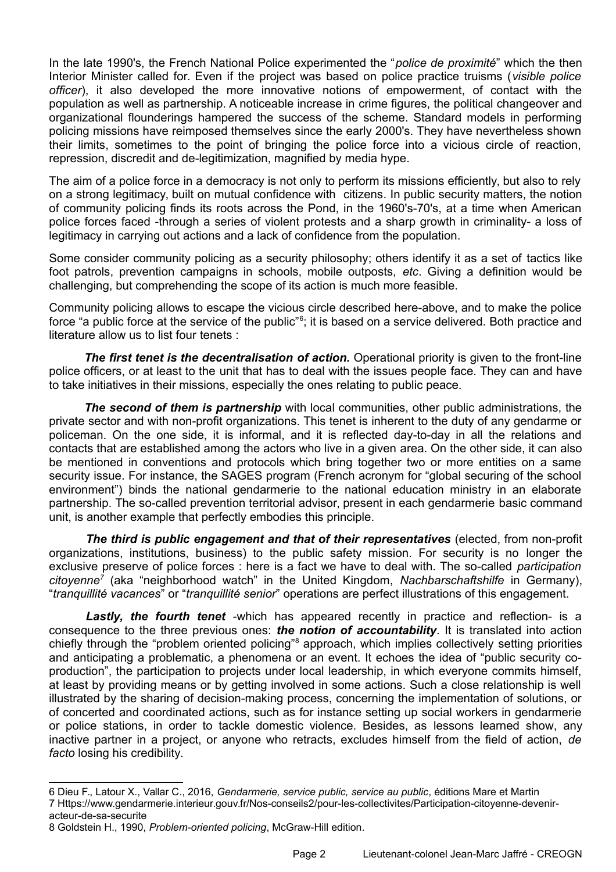In the late 1990's, the French National Police experimented the "*police de proximité*" which the then Interior Minister called for. Even if the project was based on police practice truisms (*visible police officer*), it also developed the more innovative notions of empowerment, of contact with the population as well as partnership. A noticeable increase in crime figures, the political changeover and organizational flounderings hampered the success of the scheme. Standard models in performing policing missions have reimposed themselves since the early 2000's. They have nevertheless shown their limits, sometimes to the point of bringing the police force into a vicious circle of reaction, repression, discredit and de-legitimization, magnified by media hype.

The aim of a police force in a democracy is not only to perform its missions efficiently, but also to rely on a strong legitimacy, built on mutual confidence with citizens. In public security matters, the notion of community policing finds its roots across the Pond, in the 1960's-70's, at a time when American police forces faced -through a series of violent protests and a sharp growth in criminality- a loss of legitimacy in carrying out actions and a lack of confidence from the population.

Some consider community policing as a security philosophy; others identify it as a set of tactics like foot patrols, prevention campaigns in schools, mobile outposts, *etc*. Giving a definition would be challenging, but comprehending the scope of its action is much more feasible.

Community policing allows to escape the vicious circle described here-above, and to make the police force "a public force at the service of the public"<sup>[6](#page-1-0)</sup>; it is based on a service delivered. Both practice and literature allow us to list four tenets :

*The first tenet is the decentralisation of action.* Operational priority is given to the front-line police officers, or at least to the unit that has to deal with the issues people face. They can and have to take initiatives in their missions, especially the ones relating to public peace.

*The second of them is partnership* with local communities, other public administrations, the private sector and with non-profit organizations. This tenet is inherent to the duty of any gendarme or policeman. On the one side, it is informal, and it is reflected day-to-day in all the relations and contacts that are established among the actors who live in a given area. On the other side, it can also be mentioned in conventions and protocols which bring together two or more entities on a same security issue. For instance, the SAGES program (French acronym for "global securing of the school environment") binds the national gendarmerie to the national education ministry in an elaborate partnership. The so-called prevention territorial advisor, present in each gendarmerie basic command unit, is another example that perfectly embodies this principle.

*The third is public engagement and that of their representatives* (elected, from non-profit organizations, institutions, business) to the public safety mission. For security is no longer the exclusive preserve of police forces : here is a fact we have to deal with. The so-called *participation citoyenne[7](#page-1-1)* (aka "neighborhood watch" in the United Kingdom, *Nachbarschaftshilfe* in Germany), "*tranquillité vacances*" or "*tranquillité senior*" operations are perfect illustrations of this engagement.

*Lastly, the fourth tenet* -which has appeared recently in practice and reflection- is a consequence to the three previous ones: *the notion of accountability*. It is translated into action chiefly through the "problem oriented policing"<sup>[8](#page-1-2)</sup> approach, which implies collectively setting priorities and anticipating a problematic, a phenomena or an event. It echoes the idea of "public security coproduction", the participation to projects under local leadership, in which everyone commits himself, at least by providing means or by getting involved in some actions. Such a close relationship is well illustrated by the sharing of decision-making process, concerning the implementation of solutions, or of concerted and coordinated actions, such as for instance setting up social workers in gendarmerie or police stations, in order to tackle domestic violence. Besides, as lessons learned show, any inactive partner in a project, or anyone who retracts, excludes himself from the field of action, *de facto* losing his credibility.

<span id="page-1-1"></span><span id="page-1-0"></span><sup>6</sup> Dieu F., Latour X., Vallar C., 2016, *Gendarmerie, service public, service au public*, éditions Mare et Martin 7 Https://www.gendarmerie.interieur.gouv.fr/Nos-conseils2/pour-les-collectivites/Participation-citoyenne-deveniracteur-de-sa-securite

<span id="page-1-2"></span><sup>8</sup> Goldstein H., 1990, *Problem-oriented policing*, McGraw-Hill edition.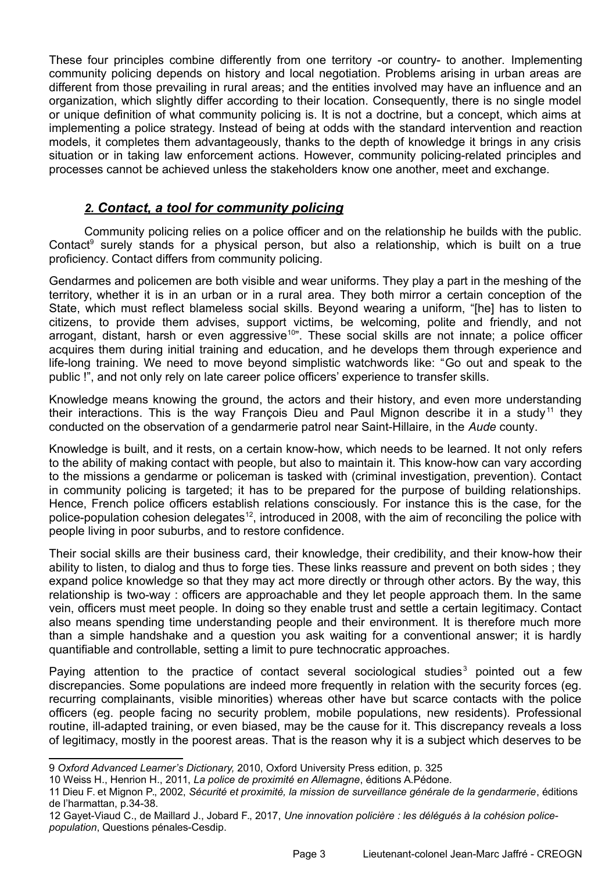These four principles combine differently from one territory -or country- to another. Implementing community policing depends on history and local negotiation. Problems arising in urban areas are different from those prevailing in rural areas; and the entities involved may have an influence and an organization, which slightly differ according to their location. Consequently, there is no single model or unique definition of what community policing is. It is not a doctrine, but a concept, which aims at implementing a police strategy. Instead of being at odds with the standard intervention and reaction models, it completes them advantageously, thanks to the depth of knowledge it brings in any crisis situation or in taking law enforcement actions. However, community policing-related principles and processes cannot be achieved unless the stakeholders know one another, meet and exchange.

## *2.Contact, a tool for community policing*

Community policing relies on a police officer and on the relationship he builds with the public. Contact<sup>[9](#page-2-0)</sup> surely stands for a physical person, but also a relationship, which is built on a true proficiency. Contact differs from community policing.

Gendarmes and policemen are both visible and wear uniforms. They play a part in the meshing of the territory, whether it is in an urban or in a rural area. They both mirror a certain conception of the State, which must reflect blameless social skills. Beyond wearing a uniform, "[he] has to listen to citizens, to provide them advises, support victims, be welcoming, polite and friendly, and not arrogant, distant, harsh or even aggressive<sup>[10](#page-2-1)"</sup>. These social skills are not innate; a police officer acquires them during initial training and education, and he develops them through experience and life-long training. We need to move beyond simplistic watchwords like: "Go out and speak to the public !", and not only rely on late career police officers' experience to transfer skills.

Knowledge means knowing the ground, the actors and their history, and even more understanding their interactions. This is the way François Dieu and Paul Mignon describe it in a study<sup>[11](#page-2-2)</sup> they conducted on the observation of a gendarmerie patrol near Saint-Hillaire, in the *Aude* county.

Knowledge is built, and it rests, on a certain know-how, which needs to be learned. It not only refers to the ability of making contact with people, but also to maintain it. This know-how can vary according to the missions a gendarme or policeman is tasked with (criminal investigation, prevention). Contact in community policing is targeted; it has to be prepared for the purpose of building relationships. Hence, French police officers establish relations consciously. For instance this is the case, for the police-population cohesion delegates<sup>[12](#page-2-3)</sup>, introduced in 2008, with the aim of reconciling the police with people living in poor suburbs, and to restore confidence.

Their social skills are their business card, their knowledge, their credibility, and their know-how their ability to listen, to dialog and thus to forge ties. These links reassure and prevent on both sides ; they expand police knowledge so that they may act more directly or through other actors. By the way, this relationship is two-way : officers are approachable and they let people approach them. In the same vein, officers must meet people. In doing so they enable trust and settle a certain legitimacy. Contact also means spending time understanding people and their environment. It is therefore much more than a simple handshake and a question you ask waiting for a conventional answer; it is hardly quantifiable and controllable, setting a limit to pure technocratic approaches.

Paying attention to the practice of contact several sociological studies<sup>3</sup> pointed out a few discrepancies. Some populations are indeed more frequently in relation with the security forces (eg. recurring complainants, visible minorities) whereas other have but scarce contacts with the police officers (eg. people facing no security problem, mobile populations, new residents). Professional routine, ill-adapted training, or even biased, may be the cause for it. This discrepancy reveals a loss of legitimacy, mostly in the poorest areas. That is the reason why it is a subject which deserves to be

- <span id="page-2-0"></span>9 *Oxford Advanced Learner's Dictionary,* 2010, Oxford University Press edition, p. 325
- <span id="page-2-1"></span>10 Weiss H., Henrion H., 2011, *La police de proximité en Allemagne*, éditions A.Pédone.

<span id="page-2-2"></span><sup>11</sup> Dieu F. et Mignon P., 2002, *Sécurité et proximité, la mission de surveillance générale de la gendarmerie*, éditions de l'harmattan, p.34-38.

<span id="page-2-3"></span><sup>12</sup> Gayet-Viaud C., de Maillard J., Jobard F., 2017, *Une innovation policière : les délégués à la cohésion policepopulation*, Questions pénales-Cesdip.